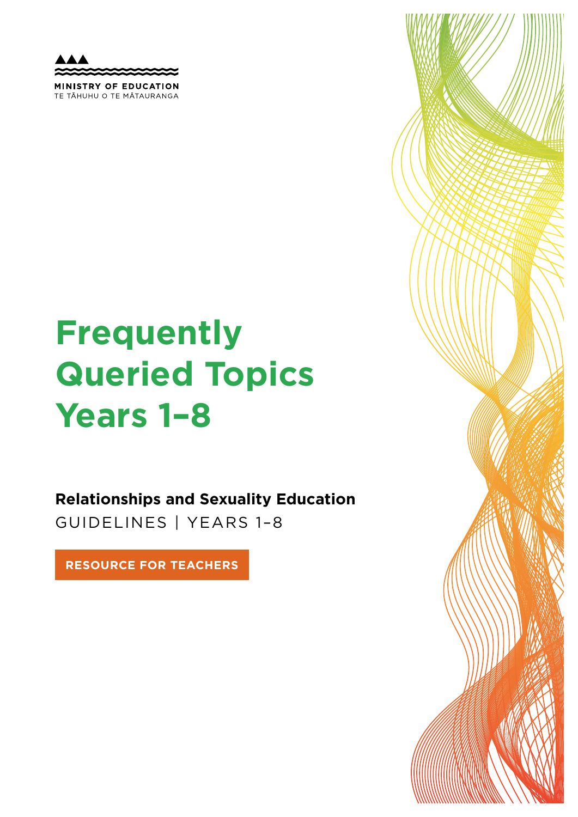MINISTRY OF EDUCATION TE TAHUHU O TE MATAURANGA

# **Frequently Queried Topics Years 1–8**

**Relationships and Sexuality Education**  GUIDELINES | YEARS 1–8

**RESOURCE FOR TEACHERS**

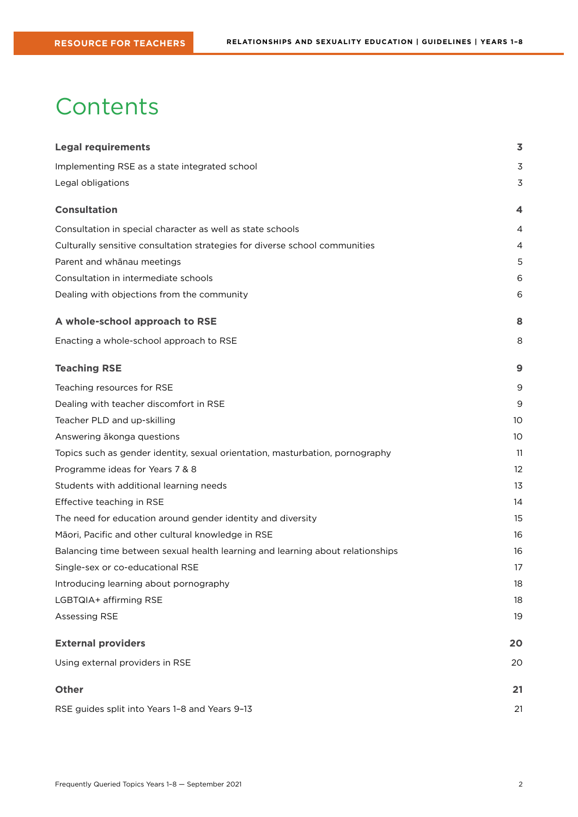## **Contents**

| <b>Legal requirements</b>                                                      | 3                 |
|--------------------------------------------------------------------------------|-------------------|
| Implementing RSE as a state integrated school                                  | 3                 |
| Legal obligations                                                              | 3                 |
| <b>Consultation</b>                                                            | 4                 |
| Consultation in special character as well as state schools                     | 4                 |
| Culturally sensitive consultation strategies for diverse school communities    | 4                 |
| Parent and whānau meetings                                                     | 5                 |
| Consultation in intermediate schools                                           | 6                 |
| Dealing with objections from the community                                     | 6                 |
| A whole-school approach to RSE                                                 | 8                 |
| Enacting a whole-school approach to RSE                                        | 8                 |
| <b>Teaching RSE</b>                                                            | 9                 |
| Teaching resources for RSE                                                     | 9                 |
| Dealing with teacher discomfort in RSE                                         | 9                 |
| Teacher PLD and up-skilling                                                    | 10                |
| Answering ākonga questions                                                     | 10                |
| Topics such as gender identity, sexual orientation, masturbation, pornography  | 11                |
| Programme ideas for Years 7 & 8                                                | $12 \overline{ }$ |
| Students with additional learning needs                                        | 13                |
| Effective teaching in RSE                                                      | 14                |
| The need for education around gender identity and diversity                    | 15                |
| Māori, Pacific and other cultural knowledge in RSE                             | 16                |
| Balancing time between sexual health learning and learning about relationships | 16                |
| Single-sex or co-educational RSE                                               | 17                |
| Introducing learning about pornography                                         | 18                |
| LGBTQIA+ affirming RSE                                                         | 18                |
| <b>Assessing RSE</b>                                                           | 19                |
| <b>External providers</b>                                                      | 20                |
| Using external providers in RSE                                                | 20                |
| <b>Other</b>                                                                   | 21                |
| RSE guides split into Years 1-8 and Years 9-13                                 | 21                |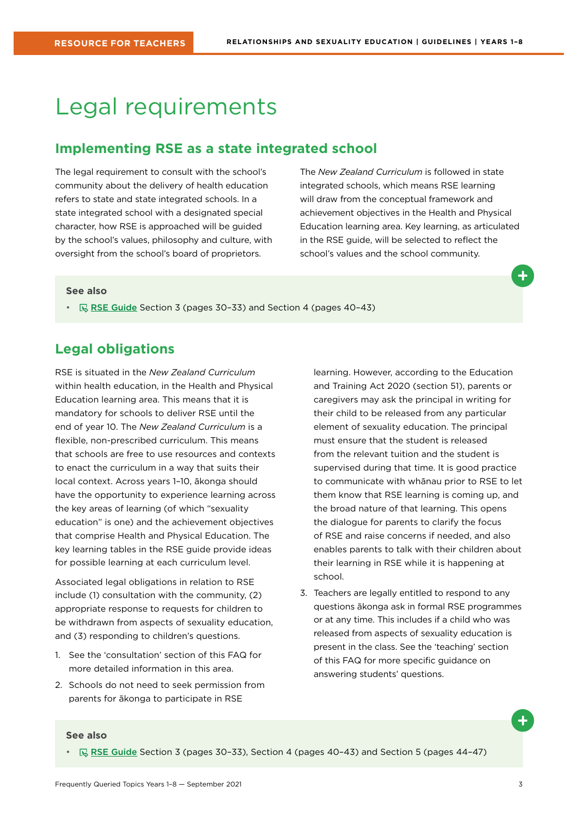## <span id="page-2-0"></span>Legal requirements

### **Implementing RSE as a state integrated school**

The legal requirement to consult with the school's community about the delivery of health education refers to state and state integrated schools. In a state integrated school with a designated special character, how RSE is approached will be guided by the school's values, philosophy and culture, with oversight from the school's board of proprietors.

The *New Zealand Curriculum* is followed in state integrated schools, which means RSE learning will draw from the conceptual framework and achievement objectives in the Health and Physical Education learning area. Key learning, as articulated in the RSE guide, will be selected to reflect the school's values and the school community.

#### **See also**

•  $\quad \qquad \mathbb{R}$  [RSE Guide](https://health.tki.org.nz/Teaching-in-Heath-and-Physical-Education-HPE/Policy-Guidelines/Relationships-and-Sexuality-Education) Section 3 (pages 30-33) and Section 4 (pages 40-43)

### **Legal obligations**

RSE is situated in the *New Zealand Curriculum* within health education, in the Health and Physical Education learning area. This means that it is mandatory for schools to deliver RSE until the end of year 10. The *New Zealand Curriculum* is a flexible, non-prescribed curriculum. This means that schools are free to use resources and contexts to enact the curriculum in a way that suits their local context. Across years 1–10, ākonga should have the opportunity to experience learning across the key areas of learning (of which "sexuality education" is one) and the achievement objectives that comprise Health and Physical Education. The key learning tables in the RSE guide provide ideas for possible learning at each curriculum level.

Associated legal obligations in relation to RSE include (1) consultation with the community, (2) appropriate response to requests for children to be withdrawn from aspects of sexuality education, and (3) responding to children's questions.

- 1. See the 'consultation' section of this FAQ for more detailed information in this area.
- 2. Schools do not need to seek permission from parents for ākonga to participate in RSE

learning. However, according to the Education and Training Act 2020 (section 51), parents or caregivers may ask the principal in writing for their child to be released from any particular element of sexuality education. The principal must ensure that the student is released from the relevant tuition and the student is supervised during that time. It is good practice to communicate with whānau prior to RSE to let them know that RSE learning is coming up, and the broad nature of that learning. This opens the dialogue for parents to clarify the focus of RSE and raise concerns if needed, and also enables parents to talk with their children about their learning in RSE while it is happening at school.

3. Teachers are legally entitled to respond to any questions ākonga ask in formal RSE programmes or at any time. This includes if a child who was released from aspects of sexuality education is present in the class. See the 'teaching' section of this FAQ for more specific guidance on answering students' questions.

#### **See also**

•  $\mathbb{R}$  [RSE Guide](https://health.tki.org.nz/Teaching-in-Heath-and-Physical-Education-HPE/Policy-Guidelines/Relationships-and-Sexuality-Education) Section 3 (pages 30-33), Section 4 (pages 40-43) and Section 5 (pages 44-47)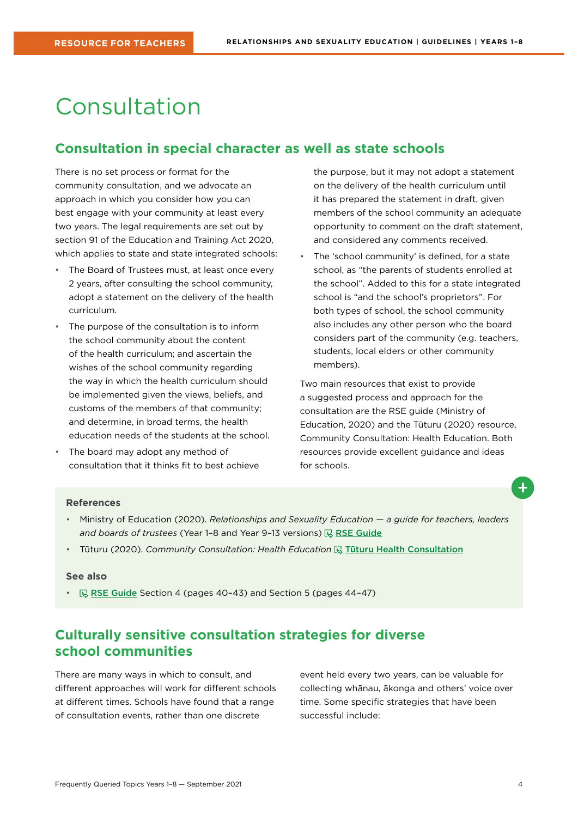## <span id="page-3-0"></span>Consultation

## **Consultation in special character as well as state schools**

There is no set process or format for the community consultation, and we advocate an approach in which you consider how you can best engage with your community at least every two years. The legal requirements are set out by section 91 of the Education and Training Act 2020, which applies to state and state integrated schools:

- The Board of Trustees must, at least once every 2 years, after consulting the school community, adopt a statement on the delivery of the health curriculum.
- The purpose of the consultation is to inform the school community about the content of the health curriculum; and ascertain the wishes of the school community regarding the way in which the health curriculum should be implemented given the views, beliefs, and customs of the members of that community; and determine, in broad terms, the health education needs of the students at the school.
- The board may adopt any method of consultation that it thinks fit to best achieve

the purpose, but it may not adopt a statement on the delivery of the health curriculum until it has prepared the statement in draft, given members of the school community an adequate opportunity to comment on the draft statement, and considered any comments received.

The 'school community' is defined, for a state school, as "the parents of students enrolled at the school". Added to this for a state integrated school is "and the school's proprietors". For both types of school, the school community also includes any other person who the board considers part of the community (e.g. teachers, students, local elders or other community members).

Two main resources that exist to provide a suggested process and approach for the consultation are the RSE guide (Ministry of Education, 2020) and the Tūturu (2020) resource, Community Consultation: Health Education. Both resources provide excellent guidance and ideas for schools.



- Ministry of Education (2020). *Relationships and Sexuality Education a guide for teachers, leaders*  and boards of trustees (Year 1-8 and Year 9-13 versions)  $\mathbb{R}$  [RSE Guide](https://health.tki.org.nz/Teaching-in-Heath-and-Physical-Education-HPE/Policy-Guidelines/Relationships-and-Sexuality-Education)
- Tūturu (2020). *Community Consultation: Health Education* <a>
<sub>
I</sub>

I
Tūturu (2020). Community Consultation: Health Education <a>
I [Tūturu Health Consultation](https://www.tuturu.org.nz/healthconsultation/)

#### **See also**

•  $\mathbb R$  [RSE Guide](https://health.tki.org.nz/Teaching-in-Heath-and-Physical-Education-HPE/Policy-Guidelines/Relationships-and-Sexuality-Education) Section 4 (pages 40-43) and Section 5 (pages 44-47)

## **Culturally sensitive consultation strategies for diverse school communities**

There are many ways in which to consult, and different approaches will work for different schools at different times. Schools have found that a range of consultation events, rather than one discrete

event held every two years, can be valuable for collecting whānau, ākonga and others' voice over time. Some specific strategies that have been successful include: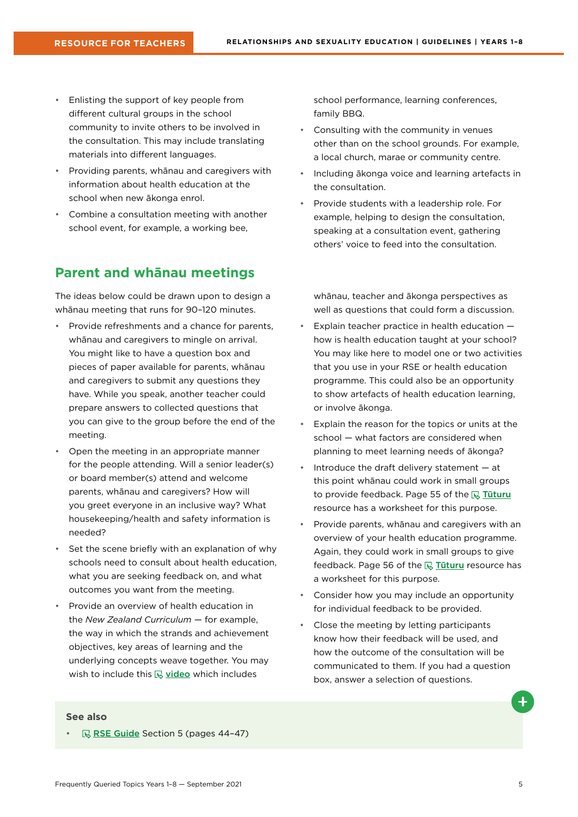- <span id="page-4-0"></span>• Enlisting the support of key people from different cultural groups in the school community to invite others to be involved in the consultation. This may include translating materials into different languages.
- Providing parents, whānau and caregivers with information about health education at the school when new ākonga enrol.
- Combine a consultation meeting with another school event, for example, a working bee,

## **Parent and whānau meetings**

The ideas below could be drawn upon to design a whānau meeting that runs for 90–120 minutes.

- Provide refreshments and a chance for parents, whānau and caregivers to mingle on arrival. You might like to have a question box and pieces of paper available for parents, whānau and caregivers to submit any questions they have. While you speak, another teacher could prepare answers to collected questions that you can give to the group before the end of the meeting.
- Open the meeting in an appropriate manner for the people attending. Will a senior leader(s) or board member(s) attend and welcome parents, whānau and caregivers? How will you greet everyone in an inclusive way? What housekeeping/health and safety information is needed?
- Set the scene briefly with an explanation of why schools need to consult about health education, what you are seeking feedback on, and what outcomes you want from the meeting.
- Provide an overview of health education in the *New Zealand Curriculum* — for example, the way in which the strands and achievement objectives, key areas of learning and the underlying concepts weave together. You may wish to include this  $\mathbb Q$  [video](https://www.youtube.com/watch?v=JwtjAT6iGxE&feature=youtu.be) which includes

school performance, learning conferences, family BBQ.

- Consulting with the community in venues other than on the school grounds. For example, a local church, marae or community centre.
- Including ākonga voice and learning artefacts in the consultation.
- Provide students with a leadership role. For example, helping to design the consultation, speaking at a consultation event, gathering others' voice to feed into the consultation.

whānau, teacher and ākonga perspectives as well as questions that could form a discussion.

- Explain teacher practice in health education how is health education taught at your school? You may like here to model one or two activities that you use in your RSE or health education programme. This could also be an opportunity to show artefacts of health education learning, or involve ākonga.
- Explain the reason for the topics or units at the school — what factors are considered when planning to meet learning needs of ākonga?
- Introduce the draft delivery statement  $-$  at this point whānau could work in small groups to provide feedback. Page 55 of the  $\mathbb R$  Tuturu resource has a worksheet for this purpose.
- Provide parents, whānau and caregivers with an overview of your health education programme. Again, they could work in small groups to give feedback. Page 56 of the  $\overline{\mathbb{R}}$  Tuturu resource has a worksheet for this purpose.
- Consider how you may include an opportunity for individual feedback to be provided.
- Close the meeting by letting participants know how their feedback will be used, and how the outcome of the consultation will be communicated to them. If you had a question box, answer a selection of questions.

#### **See also**

[RSE Guide](https://health.tki.org.nz/Teaching-in-Heath-and-Physical-Education-HPE/Policy-Guidelines/Relationships-and-Sexuality-Education) Section 5 (pages 44-47)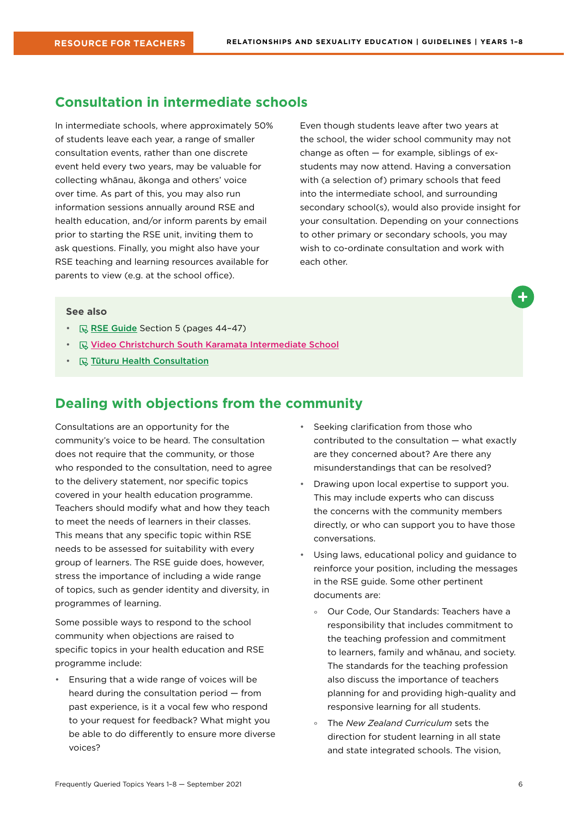## <span id="page-5-0"></span>**Consultation in intermediate schools**

In intermediate schools, where approximately 50% of students leave each year, a range of smaller consultation events, rather than one discrete event held every two years, may be valuable for collecting whānau, ākonga and others' voice over time. As part of this, you may also run information sessions annually around RSE and health education, and/or inform parents by email prior to starting the RSE unit, inviting them to ask questions. Finally, you might also have your RSE teaching and learning resources available for parents to view (e.g. at the school office).

Even though students leave after two years at the school, the wider school community may not change as often — for example, siblings of exstudents may now attend. Having a conversation with (a selection of) primary schools that feed into the intermediate school, and surrounding secondary school(s), would also provide insight for your consultation. Depending on your connections to other primary or secondary schools, you may wish to co-ordinate consultation and work with each other.

#### **See also**

- $\mathbb{R}$  [RSE Guide](https://health.tki.org.nz/Teaching-in-Heath-and-Physical-Education-HPE/Policy-Guidelines/Relationships-and-Sexuality-Education) Section 5 (pages 44-47)
- **E** Video Christchurch South Karamata Intermediate School
- $\cdot$   $\quad$   $\mathbb{R}$  [Tūturu Health Consultation](https://www.tuturu.org.nz/healthconsultation/)

## **Dealing with objections from the community**

Consultations are an opportunity for the community's voice to be heard. The consultation does not require that the community, or those who responded to the consultation, need to agree to the delivery statement, nor specific topics covered in your health education programme. Teachers should modify what and how they teach to meet the needs of learners in their classes. This means that any specific topic within RSE needs to be assessed for suitability with every group of learners. The RSE guide does, however, stress the importance of including a wide range of topics, such as gender identity and diversity, in programmes of learning.

Some possible ways to respond to the school community when objections are raised to specific topics in your health education and RSE programme include:

• Ensuring that a wide range of voices will be heard during the consultation period — from past experience, is it a vocal few who respond to your request for feedback? What might you be able to do differently to ensure more diverse voices?

- Seeking clarification from those who contributed to the consultation — what exactly are they concerned about? Are there any misunderstandings that can be resolved?
- Drawing upon local expertise to support you. This may include experts who can discuss the concerns with the community members directly, or who can support you to have those conversations.
- Using laws, educational policy and guidance to reinforce your position, including the messages in the RSE guide. Some other pertinent documents are:
	- ° Our Code, Our Standards: Teachers have a responsibility that includes commitment to the teaching profession and commitment to learners, family and whānau, and society. The standards for the teaching profession also discuss the importance of teachers planning for and providing high-quality and responsive learning for all students.
	- ° The *New Zealand Curriculum* sets the direction for student learning in all state and state integrated schools. The vision,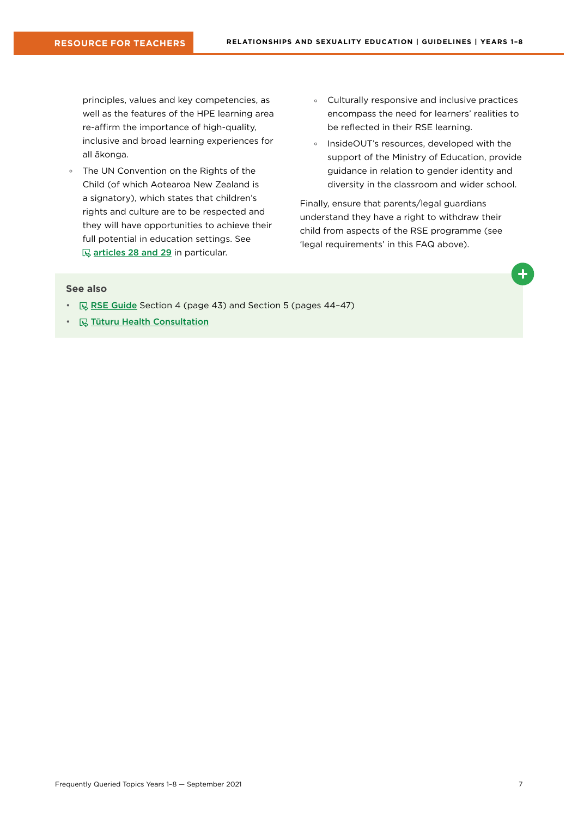principles, values and key competencies, as well as the features of the HPE learning area re-affirm the importance of high-quality, inclusive and broad learning experiences for all ākonga.

- ° The UN Convention on the Rights of the Child (of which Aotearoa New Zealand is a signatory), which states that children's rights and culture are to be respected and they will have opportunities to achieve their full potential in education settings. See **[articles 28 and 29](https://www.ohchr.org/en/professionalinterest/pages/crc.aspx) in particular.**
- ° Culturally responsive and inclusive practices encompass the need for learners' realities to be reflected in their RSE learning.
- ° InsideOUT's resources, developed with the support of the Ministry of Education, provide guidance in relation to gender identity and diversity in the classroom and wider school.

Finally, ensure that parents/legal guardians understand they have a right to withdraw their child from aspects of the RSE programme (see 'legal requirements' in this FAQ above).

- $\mathbb{R}$  [RSE Guide](https://health.tki.org.nz/Teaching-in-Heath-and-Physical-Education-HPE/Policy-Guidelines/Relationships-and-Sexuality-Education) Section 4 (page 43) and Section 5 (pages 44-47)
- $\mathbb Q$  [Tūturu Health Consultation](https://www.tuturu.org.nz/healthconsultation/)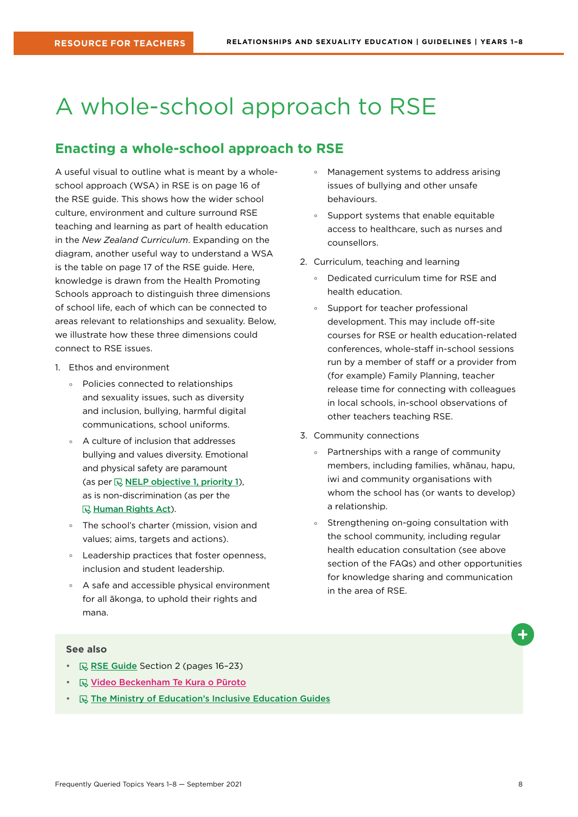## <span id="page-7-0"></span>A whole-school approach to RSE

## **Enacting a whole-school approach to RSE**

A useful visual to outline what is meant by a wholeschool approach (WSA) in RSE is on page 16 of the RSE guide. This shows how the wider school culture, environment and culture surround RSE teaching and learning as part of health education in the *New Zealand Curriculum*. Expanding on the diagram, another useful way to understand a WSA is the table on page 17 of the RSE guide. Here, knowledge is drawn from the Health Promoting Schools approach to distinguish three dimensions of school life, each of which can be connected to areas relevant to relationships and sexuality. Below, we illustrate how these three dimensions could connect to RSE issues.

- 1. Ethos and environment
	- ° Policies connected to relationships and sexuality issues, such as diversity and inclusion, bullying, harmful digital communications, school uniforms.
	- A culture of inclusion that addresses bullying and values diversity. Emotional and physical safety are paramount (as per  $\mathbb Q$  [NELP objective 1, priority 1](https://www.education.govt.nz/assets/Documents/NELP-TES-documents/FULL-NELP-2020.pdf)), as is non-discrimination (as per the **R**[Human Rights Act](https://www.hrc.co.nz/your-rights/human-rights-legislation-new-zealand/)).
	- ° The school's charter (mission, vision and values; aims, targets and actions).
	- ° Leadership practices that foster openness, inclusion and student leadership.
	- ° A safe and accessible physical environment for all ākonga, to uphold their rights and mana.
- ° Management systems to address arising issues of bullying and other unsafe behaviours.
- ° Support systems that enable equitable access to healthcare, such as nurses and counsellors.
- 2. Curriculum, teaching and learning
	- ° Dedicated curriculum time for RSE and health education.
	- ° Support for teacher professional development. This may include off-site courses for RSE or health education-related conferences, whole-staff in-school sessions run by a member of staff or a provider from (for example) Family Planning, teacher release time for connecting with colleagues in local schools, in-school observations of other teachers teaching RSE.
- 3. Community connections
	- ° Partnerships with a range of community members, including families, whānau, hapu, iwi and community organisations with whom the school has (or wants to develop) a relationship.
	- ° Strengthening on-going consultation with the school community, including regular health education consultation (see above section of the FAQs) and other opportunities for knowledge sharing and communication in the area of RSE.

- $\mathbb R$  [RSE Guide](https://health.tki.org.nz/Teaching-in-Heath-and-Physical-Education-HPE/Policy-Guidelines/Relationships-and-Sexuality-Education) Section 2 (pages 16-23)
- **W** Video Beckenham Te Kura o Pūroto
- $\mathbb R$  [The Ministry of Education's Inclusive Education Guides](https://www.inclusive.tki.org.nz/)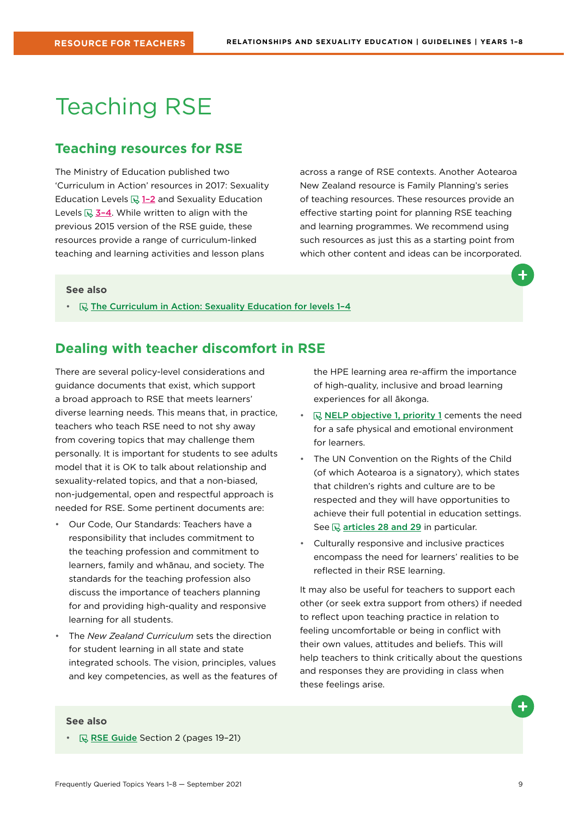## <span id="page-8-0"></span>Teaching RSE

### **Teaching resources for RSE**

The Ministry of Education published two 'Curriculum in Action' resources in 2017: Sexuality Education Levels  $\mathbb{R}$  1-2 and Sexuality Education Levels  $\mathbb{R}$  3-4. While written to align with the previous 2015 version of the RSE guide, these resources provide a range of curriculum-linked teaching and learning activities and lesson plans

across a range of RSE contexts. Another Aotearoa New Zealand resource is Family Planning's series of teaching resources. These resources provide an effective starting point for planning RSE teaching and learning programmes. We recommend using such resources as just this as a starting point from which other content and ideas can be incorporated.

#### **See also**

•  $\quad \mathbb{R}$  The Curriculum in Action: Sexuality Education for levels 1-4

### **Dealing with teacher discomfort in RSE**

There are several policy-level considerations and guidance documents that exist, which support a broad approach to RSE that meets learners' diverse learning needs. This means that, in practice, teachers who teach RSE need to not shy away from covering topics that may challenge them personally. It is important for students to see adults model that it is OK to talk about relationship and sexuality-related topics, and that a non-biased, non-judgemental, open and respectful approach is needed for RSE. Some pertinent documents are:

- Our Code, Our Standards: Teachers have a responsibility that includes commitment to the teaching profession and commitment to learners, family and whānau, and society. The standards for the teaching profession also discuss the importance of teachers planning for and providing high-quality and responsive learning for all students.
- The *New Zealand Curriculum* sets the direction for student learning in all state and state integrated schools. The vision, principles, values and key competencies, as well as the features of

the HPE learning area re-affirm the importance of high-quality, inclusive and broad learning experiences for all ākonga.

- $\mathbb R$  [NELP objective 1, priority 1](https://www.education.govt.nz/assets/Documents/NELP-TES-documents/FULL-NELP-2020.pdf) cements the need for a safe physical and emotional environment for learners.
- The UN Convention on the Rights of the Child (of which Aotearoa is a signatory), which states that children's rights and culture are to be respected and they will have opportunities to achieve their full potential in education settings. See  $\mathbb Q$  [articles 28 and 29](https://www.ohchr.org/en/professionalinterest/pages/crc.aspx) in particular.
- Culturally responsive and inclusive practices encompass the need for learners' realities to be reflected in their RSE learning.

It may also be useful for teachers to support each other (or seek extra support from others) if needed to reflect upon teaching practice in relation to feeling uncomfortable or being in conflict with their own values, attitudes and beliefs. This will help teachers to think critically about the questions and responses they are providing in class when these feelings arise.

#### **See also**

• **R [RSE Guide](https://health.tki.org.nz/Teaching-in-Heath-and-Physical-Education-HPE/Policy-Guidelines/Relationships-and-Sexuality-Education) Section 2 (pages 19-21)**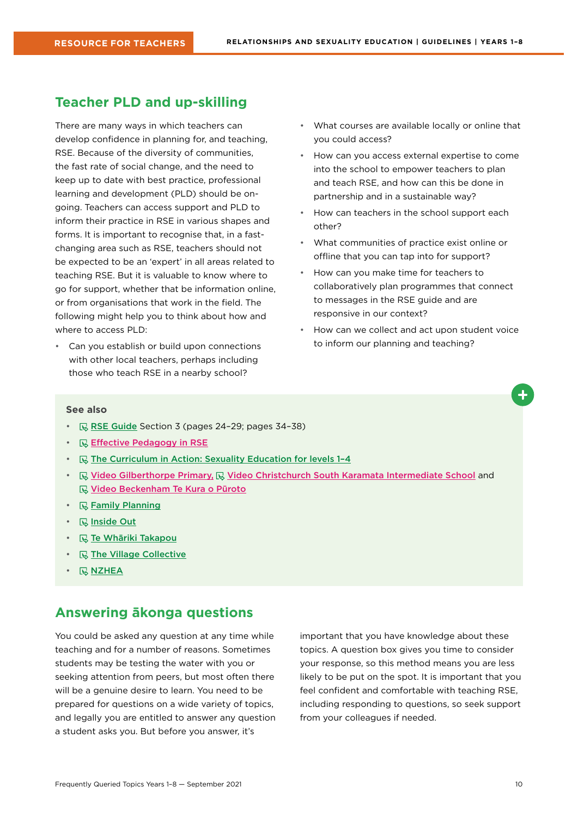### <span id="page-9-0"></span>**Teacher PLD and up-skilling**

There are many ways in which teachers can develop confidence in planning for, and teaching, RSE. Because of the diversity of communities, the fast rate of social change, and the need to keep up to date with best practice, professional learning and development (PLD) should be ongoing. Teachers can access support and PLD to inform their practice in RSE in various shapes and forms. It is important to recognise that, in a fastchanging area such as RSE, teachers should not be expected to be an 'expert' in all areas related to teaching RSE. But it is valuable to know where to go for support, whether that be information online, or from organisations that work in the field. The following might help you to think about how and where to access PLD:

• Can you establish or build upon connections with other local teachers, perhaps including those who teach RSE in a nearby school?

- What courses are available locally or online that you could access?
- How can you access external expertise to come into the school to empower teachers to plan and teach RSE, and how can this be done in partnership and in a sustainable way?
- How can teachers in the school support each other?
- What communities of practice exist online or offline that you can tap into for support?
- How can you make time for teachers to collaboratively plan programmes that connect to messages in the RSE guide and are responsive in our context?
- How can we collect and act upon student voice to inform our planning and teaching?

#### **See also**

- $\mathbb R$  [RSE Guide](https://health.tki.org.nz/Teaching-in-Heath-and-Physical-Education-HPE/Policy-Guidelines/Relationships-and-Sexuality-Education) Section 3 (pages 24-29; pages 34-38)
- **B** Effective Pedagogy in RSE
- $\mathbb R$  The Curriculum in Action: Sexuality Education for levels 1-4
- **E. Video Gilberthorpe Primary, E. Video Christchurch South Karamata Intermediate School** and **<u>I</u>** Video Beckenham Te Kura o Pūroto
- $\cdot$   $\quad$   $\mathbb{R}$  [Family Planning](https://www.familyplanning.org.nz/)
- *<u>R</u>* [Inside Out](http://insideout.org.nz/)
- **R** [Te Whāriki Takapou](https://tewhariki.org.nz/)
- $\mathbb Q$  [The Village Collective](https://www.villagecollective.org.nz/)
- $\cdot$  **[NZHEA](https://healtheducation.org.nz)**

## **Answering ākonga questions**

You could be asked any question at any time while teaching and for a number of reasons. Sometimes students may be testing the water with you or seeking attention from peers, but most often there will be a genuine desire to learn. You need to be prepared for questions on a wide variety of topics, and legally you are entitled to answer any question a student asks you. But before you answer, it's

important that you have knowledge about these topics. A question box gives you time to consider your response, so this method means you are less likely to be put on the spot. It is important that you feel confident and comfortable with teaching RSE, including responding to questions, so seek support from your colleagues if needed.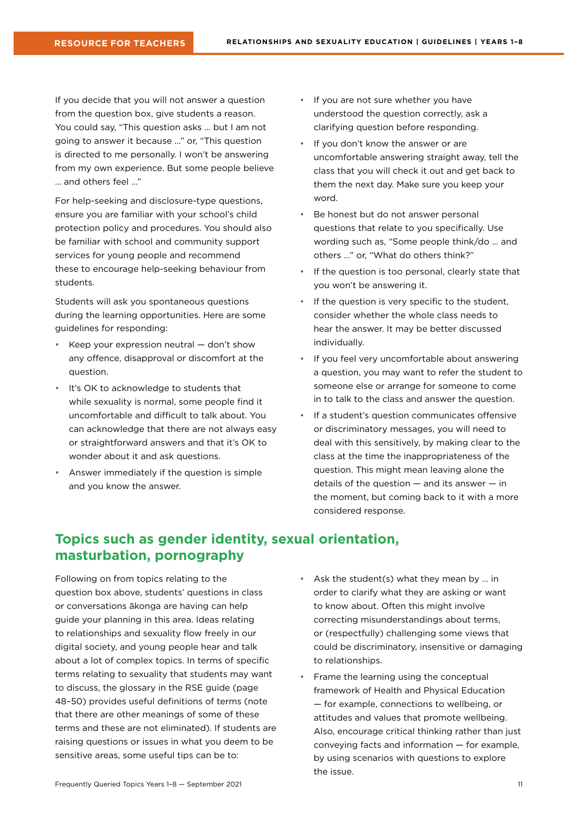<span id="page-10-0"></span>If you decide that you will not answer a question from the question box, give students a reason. You could say, "This question asks … but I am not going to answer it because …" or, "This question is directed to me personally. I won't be answering from my own experience. But some people believe … and others feel …"

For help-seeking and disclosure-type questions, ensure you are familiar with your school's child protection policy and procedures. You should also be familiar with school and community support services for young people and recommend these to encourage help-seeking behaviour from students.

Students will ask you spontaneous questions during the learning opportunities. Here are some guidelines for responding:

- Keep your expression neutral don't show any offence, disapproval or discomfort at the question.
- It's OK to acknowledge to students that while sexuality is normal, some people find it uncomfortable and difficult to talk about. You can acknowledge that there are not always easy or straightforward answers and that it's OK to wonder about it and ask questions.
- Answer immediately if the question is simple and you know the answer.
- If you are not sure whether you have understood the question correctly, ask a clarifying question before responding.
- If you don't know the answer or are uncomfortable answering straight away, tell the class that you will check it out and get back to them the next day. Make sure you keep your word.
- Be honest but do not answer personal questions that relate to you specifically. Use wording such as, "Some people think/do … and others …" or, "What do others think?"
- If the question is too personal, clearly state that you won't be answering it.
- If the question is very specific to the student, consider whether the whole class needs to hear the answer. It may be better discussed individually.
- If you feel very uncomfortable about answering a question, you may want to refer the student to someone else or arrange for someone to come in to talk to the class and answer the question.
- If a student's question communicates offensive or discriminatory messages, you will need to deal with this sensitively, by making clear to the class at the time the inappropriateness of the question. This might mean leaving alone the details of the question  $-$  and its answer  $-$  in the moment, but coming back to it with a more considered response.

## **Topics such as gender identity, sexual orientation, masturbation, pornography**

Following on from topics relating to the question box above, students' questions in class or conversations ākonga are having can help guide your planning in this area. Ideas relating to relationships and sexuality flow freely in our digital society, and young people hear and talk about a lot of complex topics. In terms of specific terms relating to sexuality that students may want to discuss, the glossary in the RSE guide (page 48–50) provides useful definitions of terms (note that there are other meanings of some of these terms and these are not eliminated). If students are raising questions or issues in what you deem to be sensitive areas, some useful tips can be to:

- Ask the student(s) what they mean by ... in order to clarify what they are asking or want to know about. Often this might involve correcting misunderstandings about terms, or (respectfully) challenging some views that could be discriminatory, insensitive or damaging to relationships.
- Frame the learning using the conceptual framework of Health and Physical Education — for example, connections to wellbeing, or attitudes and values that promote wellbeing. Also, encourage critical thinking rather than just conveying facts and information — for example, by using scenarios with questions to explore the issue.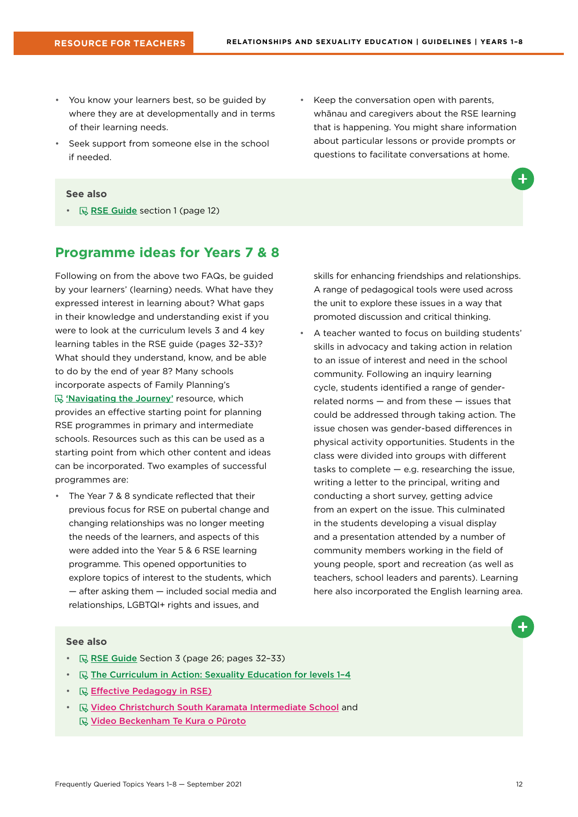- <span id="page-11-0"></span>• You know your learners best, so be guided by where they are at developmentally and in terms of their learning needs.
- Seek support from someone else in the school if needed.
- Keep the conversation open with parents, whānau and caregivers about the RSE learning that is happening. You might share information about particular lessons or provide prompts or questions to facilitate conversations at home.

#### **See also**

•  $\mathbb{R}$  [RSE Guide](https://health.tki.org.nz/Teaching-in-Heath-and-Physical-Education-HPE/Policy-Guidelines/Relationships-and-Sexuality-Education) section 1 (page 12)

#### **Programme ideas for Years 7 & 8**

Following on from the above two FAQs, be guided by your learners' (learning) needs. What have they expressed interest in learning about? What gaps in their knowledge and understanding exist if you were to look at the curriculum levels 3 and 4 key learning tables in the RSE guide (pages 32–33)? What should they understand, know, and be able to do by the end of year 8? Many schools incorporate aspects of Family Planning's 'S ['Navigating the Journey'](https://www.familyplanning.org.nz/catalog/resources/primaryintermediate-teaching-resources) resource, which provides an effective starting point for planning RSE programmes in primary and intermediate schools. Resources such as this can be used as a starting point from which other content and ideas can be incorporated. Two examples of successful programmes are:

• The Year 7 & 8 syndicate reflected that their previous focus for RSE on pubertal change and changing relationships was no longer meeting the needs of the learners, and aspects of this were added into the Year 5 & 6 RSE learning programme. This opened opportunities to explore topics of interest to the students, which — after asking them — included social media and relationships, LGBTQI+ rights and issues, and

skills for enhancing friendships and relationships. A range of pedagogical tools were used across the unit to explore these issues in a way that promoted discussion and critical thinking.

• A teacher wanted to focus on building students' skills in advocacy and taking action in relation to an issue of interest and need in the school community. Following an inquiry learning cycle, students identified a range of genderrelated norms — and from these — issues that could be addressed through taking action. The issue chosen was gender-based differences in physical activity opportunities. Students in the class were divided into groups with different tasks to complete — e.g. researching the issue, writing a letter to the principal, writing and conducting a short survey, getting advice from an expert on the issue. This culminated in the students developing a visual display and a presentation attended by a number of community members working in the field of young people, sport and recreation (as well as teachers, school leaders and parents). Learning here also incorporated the English learning area.

- $\mathbb R$  [RSE Guide](https://health.tki.org.nz/Teaching-in-Heath-and-Physical-Education-HPE/Policy-Guidelines/Relationships-and-Sexuality-Education) Section 3 (page 26; pages 32-33)
- $\mathbb R$  The Curriculum in Action: Sexuality Education for levels 1-4
- **Effective Pedagogy in RSE**)
- [Video Christchurch South Karamata Intermediate School](Videos: Christchurch South Karamata Intermediate School) and **<u><b>Wideo Beckenham Te Kura o Pūroto**</u>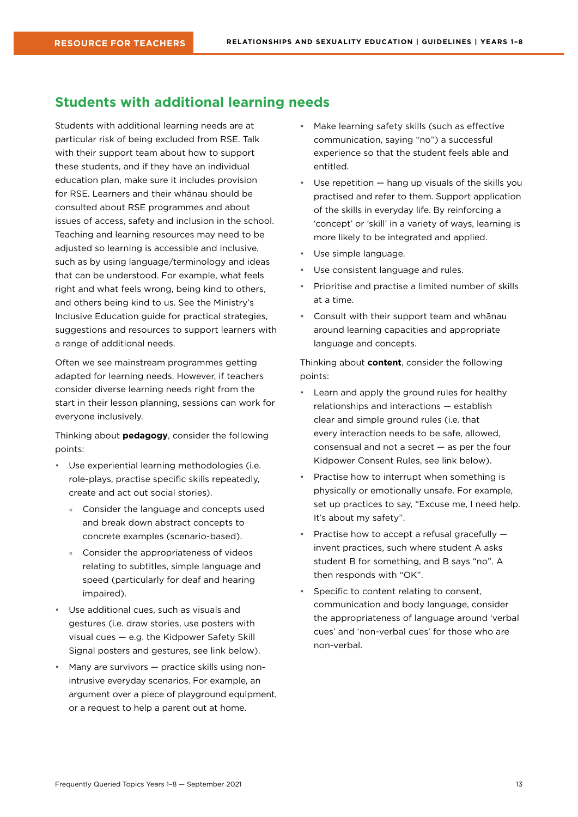## <span id="page-12-0"></span>**Students with additional learning needs**

Students with additional learning needs are at particular risk of being excluded from RSE. Talk with their support team about how to support these students, and if they have an individual education plan, make sure it includes provision for RSE. Learners and their whānau should be consulted about RSE programmes and about issues of access, safety and inclusion in the school. Teaching and learning resources may need to be adjusted so learning is accessible and inclusive, such as by using language/terminology and ideas that can be understood. For example, what feels right and what feels wrong, being kind to others, and others being kind to us. See the Ministry's Inclusive Education guide for practical strategies, suggestions and resources to support learners with a range of additional needs.

Often we see mainstream programmes getting adapted for learning needs. However, if teachers consider diverse learning needs right from the start in their lesson planning, sessions can work for everyone inclusively.

Thinking about **pedagogy**, consider the following points:

- Use experiential learning methodologies (i.e. role-plays, practise specific skills repeatedly, create and act out social stories).
	- ° Consider the language and concepts used and break down abstract concepts to concrete examples (scenario-based).
	- ° Consider the appropriateness of videos relating to subtitles, simple language and speed (particularly for deaf and hearing impaired).
- Use additional cues, such as visuals and gestures (i.e. draw stories, use posters with visual cues — e.g. the Kidpower Safety Skill Signal posters and gestures, see link below).
- Many are survivors practice skills using nonintrusive everyday scenarios. For example, an argument over a piece of playground equipment, or a request to help a parent out at home.
- Make learning safety skills (such as effective communication, saying "no") a successful experience so that the student feels able and entitled.
- Use repetition  $-$  hang up visuals of the skills you practised and refer to them. Support application of the skills in everyday life. By reinforcing a 'concept' or 'skill' in a variety of ways, learning is more likely to be integrated and applied.
- Use simple language.
- Use consistent language and rules.
- Prioritise and practise a limited number of skills at a time.
- Consult with their support team and whānau around learning capacities and appropriate language and concepts.

Thinking about **content**, consider the following points:

- Learn and apply the ground rules for healthy relationships and interactions — establish clear and simple ground rules (i.e. that every interaction needs to be safe, allowed, consensual and not a secret — as per the four Kidpower Consent Rules, see link below).
- Practise how to interrupt when something is physically or emotionally unsafe. For example, set up practices to say, "Excuse me, I need help. It's about my safety".
- Practise how to accept a refusal gracefully invent practices, such where student A asks student B for something, and B says "no". A then responds with "OK".
- Specific to content relating to consent, communication and body language, consider the appropriateness of language around 'verbal cues' and 'non-verbal cues' for those who are non-verbal.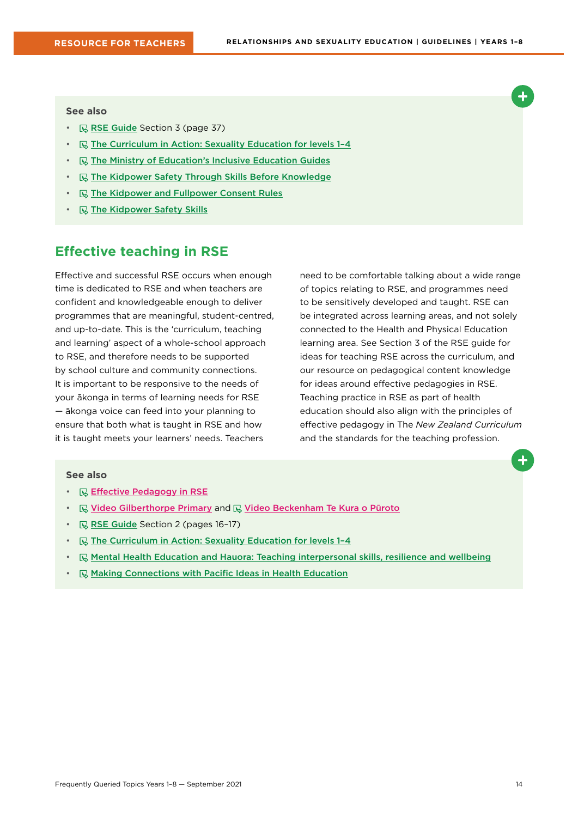#### <span id="page-13-0"></span>**See also**

- $\mathbb R$  [RSE Guide](https://health.tki.org.nz/Teaching-in-Heath-and-Physical-Education-HPE/Policy-Guidelines/Relationships-and-Sexuality-Education) Section 3 (page 37)
- $\quad \quad \mathbb{R}$  The Curriculum in Action: Sexuality Education for levels 1-4
- $\mathbb R$  [The Ministry of Education's Inclusive Education Guides](https://www.inclusive.tki.org.nz/)
- **R** [The Kidpower Safety Through Skills Before Knowledge](https://www.kidpower.org/library/article/safety-through-skills-before-knowledge)
- **R** [The Kidpower and Fullpower Consent Rules](https://www.kidpower.org/library/consent-posters/)
- **R** [The Kidpower Safety Skills](https://empowermenttrust.nz/resources/kidpower-safety-signals/)

## **Effective teaching in RSE**

Effective and successful RSE occurs when enough time is dedicated to RSE and when teachers are confident and knowledgeable enough to deliver programmes that are meaningful, student-centred, and up-to-date. This is the 'curriculum, teaching and learning' aspect of a whole-school approach to RSE, and therefore needs to be supported by school culture and community connections. It is important to be responsive to the needs of your ākonga in terms of learning needs for RSE — ākonga voice can feed into your planning to ensure that both what is taught in RSE and how it is taught meets your learners' needs. Teachers

need to be comfortable talking about a wide range of topics relating to RSE, and programmes need to be sensitively developed and taught. RSE can be integrated across learning areas, and not solely connected to the Health and Physical Education learning area. See Section 3 of the RSE guide for ideas for teaching RSE across the curriculum, and our resource on pedagogical content knowledge for ideas around effective pedagogies in RSE. Teaching practice in RSE as part of health education should also align with the principles of effective pedagogy in The *New Zealand Curriculum* and the standards for the teaching profession.

- **Effective Pedagogy in RSE**
- $\mathbb Q$  Video Gilberthorpe Primary and  $\mathbb Q$  Video Beckenham Te Kura o Pūroto
- **R** [RSE Guide](https://health.tki.org.nz/Teaching-in-Heath-and-Physical-Education-HPE/Policy-Guidelines/Relationships-and-Sexuality-Education) Section 2 (pages 16-17)
- $\mathbb R$  The Curriculum in Action: Sexuality Education for levels 1-4
- $\mathbb{R}$  [Mental Health Education and Hauora: Teaching interpersonal skills, resilience and wellbeing](https://healtheducation.org.nz/resources/mental-health-education/)
- $\mathbb R$  [Making Connections with Pacific Ideas in Health Education](https://healtheducation.org.nz/resources)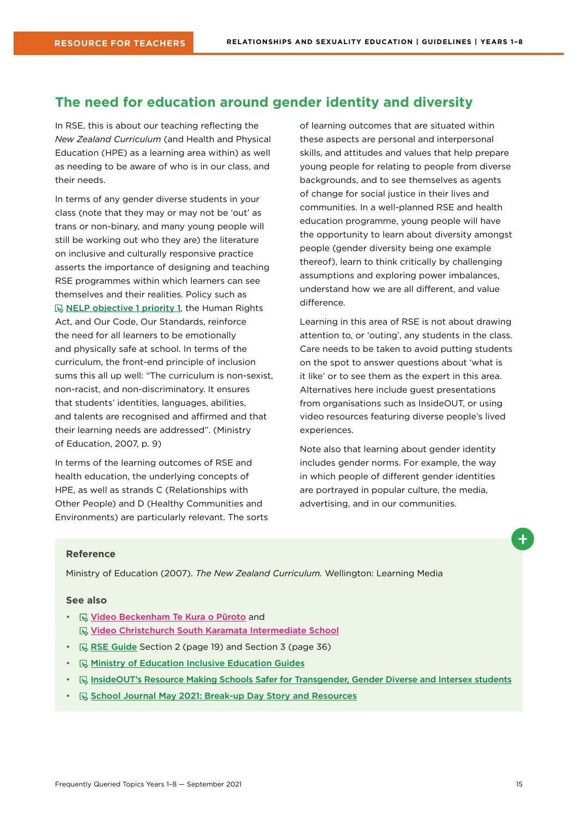## <span id="page-14-0"></span>**The need for education around gender identity and diversity**

In RSE, this is about our teaching reflecting the *New Zealand Curriculum* (and Health and Physical Education (HPE) as a learning area within) as well as needing to be aware of who is in our class, and their needs.

In terms of any gender diverse students in your class (note that they may or may not be 'out' as trans or non-binary, and many young people will still be working out who they are) the literature on inclusive and culturally responsive practice asserts the importance of designing and teaching RSE programmes within which learners can see themselves and their realities. Policy such as  $\mathbb R$  [NELP objective 1 priority 1](https://www.education.govt.nz/assets/Documents/NELP-TES-documents/FULL-NELP-2020.pdf), the Human Rights Act, and Our Code, Our Standards, reinforce the need for all learners to be emotionally and physically safe at school. In terms of the curriculum, the front-end principle of inclusion sums this all up well: "The curriculum is non-sexist, non-racist, and non-discriminatory. It ensures that students' identities, languages, abilities, and talents are recognised and affirmed and that their learning needs are addressed". (Ministry of Education, 2007, p. 9)

In terms of the learning outcomes of RSE and health education, the underlying concepts of HPE, as well as strands C (Relationships with Other People) and D (Healthy Communities and Environments) are particularly relevant. The sorts of learning outcomes that are situated within these aspects are personal and interpersonal skills, and attitudes and values that help prepare young people for relating to people from diverse backgrounds, and to see themselves as agents of change for social justice in their lives and communities. In a well-planned RSE and health education programme, young people will have the opportunity to learn about diversity amongst people (gender diversity being one example thereof), learn to think critically by challenging assumptions and exploring power imbalances, understand how we are all different, and value difference.

Learning in this area of RSE is not about drawing attention to, or 'outing', any students in the class. Care needs to be taken to avoid putting students on the spot to answer questions about 'what is it like' or to see them as the expert in this area. Alternatives here include guest presentations from organisations such as InsideOUT, or using video resources featuring diverse people's lived experiences.

Note also that learning about gender identity includes gender norms. For example, the way in which people of different gender identities are portrayed in popular culture, the media, advertising, and in our communities.

#### **Reference**

Ministry of Education (2007). *The New Zealand Curriculum.* Wellington: Learning Media

- **E** Video Beckenham Te Kura o Pūroto and **Video Christchurch South Karamata Intermediate School**
- **R**SE Guide Section 2 (page 19) and Section 3 (page 36)
- **[Ministry of Education Inclusive Education Guides](https://www.inclusive.tki.org.nz/guides/supporting-lgbtiqa-students/)**
- **IE [InsideOUT'](http://insideout.org.nz/resources/)s Resource Making Schools Safer for Transgender, Gender Diverse and Intersex students**
- **I** [School Journal May 2021: Break-up Day Story and Resources](https://instructionalseries.tki.org.nz/Instructional-Series/School-Journal/School-Journal-Level-4-May-2021/Break-up-Day)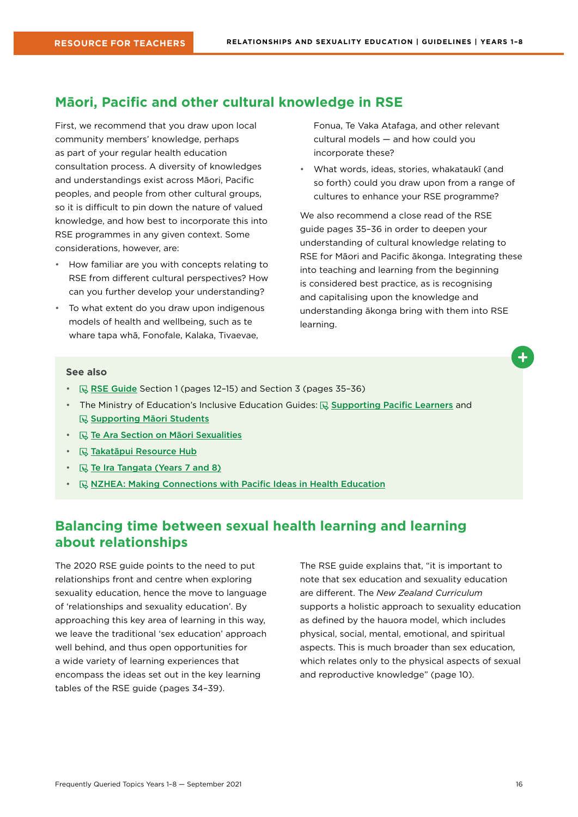## <span id="page-15-0"></span>**Māori, Pacific and other cultural knowledge in RSE**

First, we recommend that you draw upon local community members' knowledge, perhaps as part of your regular health education consultation process. A diversity of knowledges and understandings exist across Māori, Pacific peoples, and people from other cultural groups, so it is difficult to pin down the nature of valued knowledge, and how best to incorporate this into RSE programmes in any given context. Some considerations, however, are:

- How familiar are you with concepts relating to RSE from different cultural perspectives? How can you further develop your understanding?
- To what extent do you draw upon indigenous models of health and wellbeing, such as te whare tapa whā, Fonofale, Kalaka, Tivaevae,

Fonua, Te Vaka Atafaga, and other relevant cultural models — and how could you incorporate these?

• What words, ideas, stories, whakataukī (and so forth) could you draw upon from a range of cultures to enhance your RSE programme?

We also recommend a close read of the RSE guide pages 35–36 in order to deepen your understanding of cultural knowledge relating to RSE for Māori and Pacific ākonga. Integrating these into teaching and learning from the beginning is considered best practice, as is recognising and capitalising upon the knowledge and understanding ākonga bring with them into RSE learning.



- $\Box$  [RSE Guide](https://health.tki.org.nz/Teaching-in-Heath-and-Physical-Education-HPE/Policy-Guidelines/Relationships-and-Sexuality-Education) Section 1 (pages 12-15) and Section 3 (pages 35-36)
- The Ministry of Education's Inclusive Education Guides:  $\overline{\mathbb{Q}}$  [Supporting Pacific Learners](https://www.inclusive.tki.org.nz/guides/supporting-pacific-learners/) and **[Supporting Māori Students](https://www.inclusive.tki.org.nz/guides/supporting-maori-students/)**
- $\mathbb R$  [Te Ara Section on Māori Sexualities](https://teara.govt.nz/en/hokakatanga-maori-sexualities/media)
- $\mathbb Q$  [Takatāpui Resource Hub](https://takatapui.nz/)
- **R** [Te Ira Tangata \(Years 7 and 8\)](https://tewhariki.org.nz)
- **R** [NZHEA: Making Connections with Pacific Ideas in Health Education](https://healtheducation.org.nz/resources/)

## **Balancing time between sexual health learning and learning about relationships**

The 2020 RSE guide points to the need to put relationships front and centre when exploring sexuality education, hence the move to language of 'relationships and sexuality education'. By approaching this key area of learning in this way, we leave the traditional 'sex education' approach well behind, and thus open opportunities for a wide variety of learning experiences that encompass the ideas set out in the key learning tables of the RSE guide (pages 34–39).

The RSE guide explains that, "it is important to note that sex education and sexuality education are different. The *New Zealand Curriculum* supports a holistic approach to sexuality education as defined by the hauora model, which includes physical, social, mental, emotional, and spiritual aspects. This is much broader than sex education, which relates only to the physical aspects of sexual and reproductive knowledge" (page 10).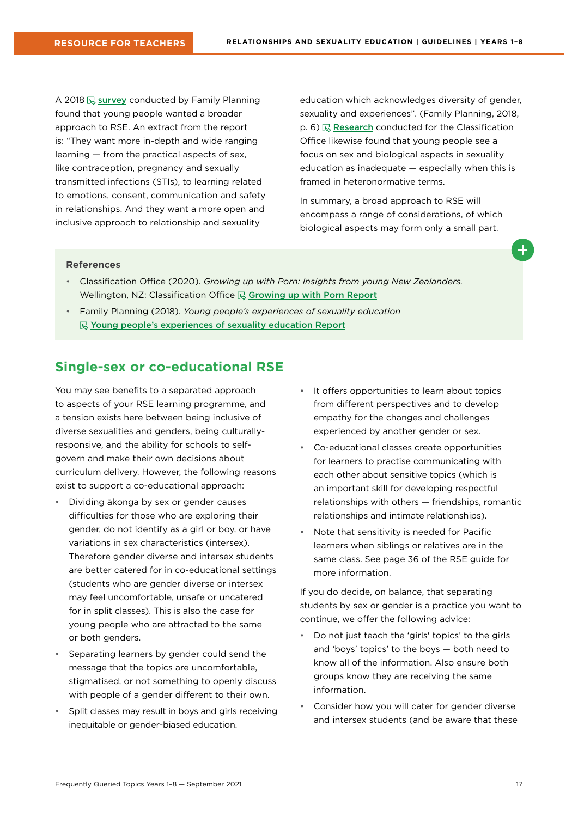<span id="page-16-0"></span>A 2018  $\overline{\mathbb{Q}}$  [survey](https://www.familyplanning.org.nz/media/303990/youth-survey-summary-report_march2019_final.pdf) conducted by Family Planning found that young people wanted a broader approach to RSE. An extract from the report is: "They want more in-depth and wide ranging learning — from the practical aspects of sex, like contraception, pregnancy and sexually transmitted infections (STIs), to learning related to emotions, consent, communication and safety in relationships. And they want a more open and inclusive approach to relationship and sexuality

education which acknowledges diversity of gender, sexuality and experiences". (Family Planning, 2018,  $p. 6$ )  $\mathbb{R}$  [Research](https://www.classificationoffice.govt.nz/assets/PDFs/Growing-up-with-Porn-Web.pdf) conducted for the Classification Office likewise found that young people see a focus on sex and biological aspects in sexuality education as inadequate — especially when this is framed in heteronormative terms.

In summary, a broad approach to RSE will encompass a range of considerations, of which biological aspects may form only a small part.

#### **References**

- Classification Office (2020). *Growing up with Porn: Insights from young New Zealanders.* Wellington, NZ: Classification Office  $\mathbb Q$  [Growing up with Porn](https://www.classificationoffice.govt.nz/assets/PDFs/Growing-up-with-Porn-Web.pdf) Report
- Family Planning (2018). *Young people's experiences of sexuality education* [Young people's experiences of sexuality education Report](https://www.familyplanning.org.nz/media/303990/youth-survey-summary-report_march2019_final.pdf)

#### **Single-sex or co-educational RSE**

You may see benefits to a separated approach to aspects of your RSE learning programme, and a tension exists here between being inclusive of diverse sexualities and genders, being culturallyresponsive, and the ability for schools to selfgovern and make their own decisions about curriculum delivery. However, the following reasons exist to support a co-educational approach:

- Dividing ākonga by sex or gender causes difficulties for those who are exploring their gender, do not identify as a girl or boy, or have variations in sex characteristics (intersex). Therefore gender diverse and intersex students are better catered for in co-educational settings (students who are gender diverse or intersex may feel uncomfortable, unsafe or uncatered for in split classes). This is also the case for young people who are attracted to the same or both genders.
- Separating learners by gender could send the message that the topics are uncomfortable, stigmatised, or not something to openly discuss with people of a gender different to their own.
- Split classes may result in boys and girls receiving inequitable or gender-biased education.
- It offers opportunities to learn about topics from different perspectives and to develop empathy for the changes and challenges experienced by another gender or sex.
- Co-educational classes create opportunities for learners to practise communicating with each other about sensitive topics (which is an important skill for developing respectful relationships with others — friendships, romantic relationships and intimate relationships).
- Note that sensitivity is needed for Pacific learners when siblings or relatives are in the same class. See page 36 of the RSE guide for more information.

If you do decide, on balance, that separating students by sex or gender is a practice you want to continue, we offer the following advice:

- Do not just teach the 'girls' topics' to the girls and 'boys' topics' to the boys — both need to know all of the information. Also ensure both groups know they are receiving the same information.
- Consider how you will cater for gender diverse and intersex students (and be aware that these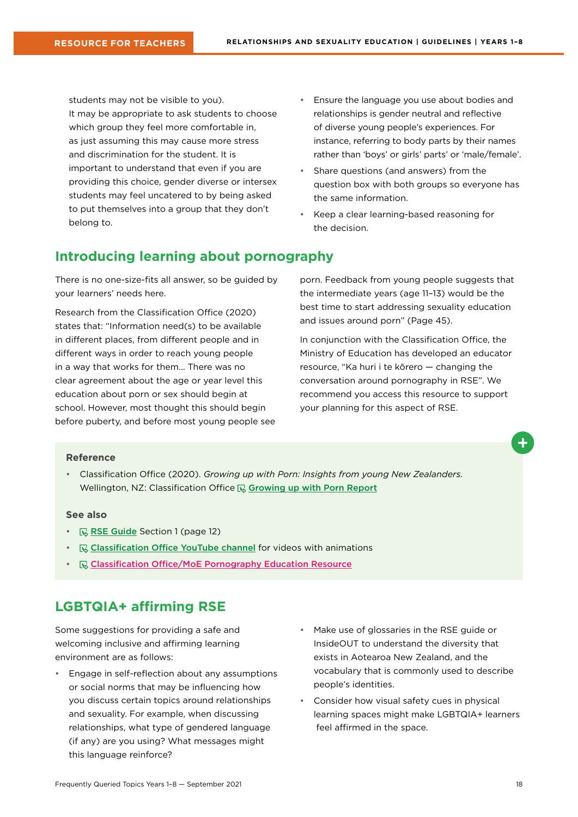<span id="page-17-0"></span>students may not be visible to you). It may be appropriate to ask students to choose which group they feel more comfortable in. as just assuming this may cause more stress and discrimination for the student. It is important to understand that even if you are providing this choice, gender diverse or intersex students may feel uncatered to by being asked to put themselves into a group that they don't belong to.

- Ensure the language you use about bodies and relationships is gender neutral and reflective of diverse young people's experiences. For instance, referring to body parts by their names rather than 'boys' or girls' parts' or 'male/female'.
- Share questions (and answers) from the question box with both groups so everyone has the same information.
- Keep a clear learning-based reasoning for the decision.

## **Introducing learning about pornography**

There is no one-size-fits all answer, so be guided by your learners' needs here.

Research from the Classification Office (2020) states that: "Information need(s) to be available in different places, from different people and in different ways in order to reach young people in a way that works for them... There was no clear agreement about the age or year level this education about porn or sex should begin at school. However, most thought this should begin before puberty, and before most young people see porn. Feedback from young people suggests that the intermediate years (age 11–13) would be the best time to start addressing sexuality education and issues around porn" (Page 45).

In conjunction with the Classification Office, the Ministry of Education has developed an educator resource, "Ka huri i te kōrero — changing the conversation around pornography in RSE". We recommend you access this resource to support your planning for this aspect of RSE.

#### **Reference**

• Classification Office (2020). *Growing up with Porn: Insights from young New Zealanders.* Wellington, NZ: Classification Office  $\mathbb Q$  [Growing up with Porn](https://www.classificationoffice.govt.nz/assets/PDFs/Growing-up-with-Porn-Web.pdf) Report

#### **See also**

- $\mathbb{R}$  [RSE Guide](https://health.tki.org.nz/Teaching-in-Heath-and-Physical-Education-HPE/Policy-Guidelines/Relationships-and-Sexuality-Education) Section 1 (page 12)
- $\mathbb{R}$  [Classification Office YouTube channel](https://www.youtube.com/channel/UC4FZc4ZmmjN-zwVGqXngaoA) for videos with animations
- Classification Office/MoE Pornography Education Resource

### **LGBTQIA+ affirming RSE**

Some suggestions for providing a safe and welcoming inclusive and affirming learning environment are as follows:

- Engage in self-reflection about any assumptions or social norms that may be influencing how you discuss certain topics around relationships and sexuality. For example, when discussing relationships, what type of gendered language (if any) are you using? What messages might this language reinforce?
- Make use of glossaries in the RSE guide or InsideOUT to understand the diversity that exists in Aotearoa New Zealand, and the vocabulary that is commonly used to describe people's identities.
- Consider how visual safety cues in physical learning spaces might make LGBTQIA+ learners feel affirmed in the space.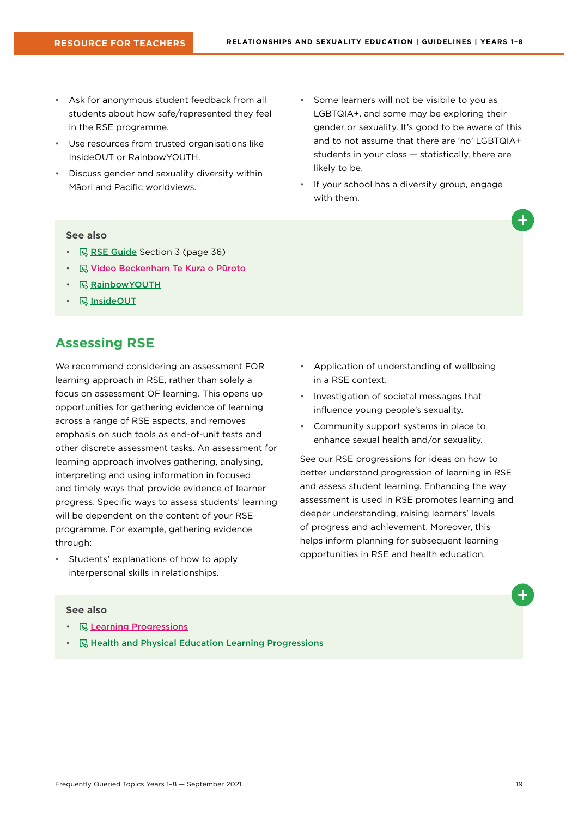- <span id="page-18-0"></span>• Ask for anonymous student feedback from all students about how safe/represented they feel in the RSE programme.
- Use resources from trusted organisations like InsideOUT or RainbowYOUTH.
- Discuss gender and sexuality diversity within Māori and Pacific worldviews.
- Some learners will not be visibile to you as LGBTQIA+, and some may be exploring their gender or sexuality. It's good to be aware of this and to not assume that there are 'no' LGBTQIA+ students in your class — statistically, there are likely to be.
- If your school has a diversity group, engage with them.

#### **See also**

- **R** [RSE Guide](https://health.tki.org.nz/Teaching-in-Heath-and-Physical-Education-HPE/Policy-Guidelines/Relationships-and-Sexuality-Education) Section 3 (page 36)
- **W** Video Beckenham Te Kura o Pūroto
- **[RainbowYOUTH](https://ry.org.nz/)**
- **B** [InsideOUT](https://insideout.org.nz/ )

## **Assessing RSE**

We recommend considering an assessment FOR learning approach in RSE, rather than solely a focus on assessment OF learning. This opens up opportunities for gathering evidence of learning across a range of RSE aspects, and removes emphasis on such tools as end-of-unit tests and other discrete assessment tasks. An assessment for learning approach involves gathering, analysing, interpreting and using information in focused and timely ways that provide evidence of learner progress. Specific ways to assess students' learning will be dependent on the content of your RSE programme. For example, gathering evidence through:

• Students' explanations of how to apply interpersonal skills in relationships.

- Application of understanding of wellbeing in a RSE context.
- Investigation of societal messages that influence young people's sexuality.
- Community support systems in place to enhance sexual health and/or sexuality.

See our RSE progressions for ideas on how to better understand progression of learning in RSE and assess student learning. Enhancing the way assessment is used in RSE promotes learning and deeper understanding, raising learners' levels of progress and achievement. Moreover, this helps inform planning for subsequent learning opportunities in RSE and health education.

- **R** Learning Progressions
- $\mathbb R$  [Health and Physical Education Learning Progressions](http://hpeprogressions.education.govt.nz/frameworks/healthandpe/index.aspx)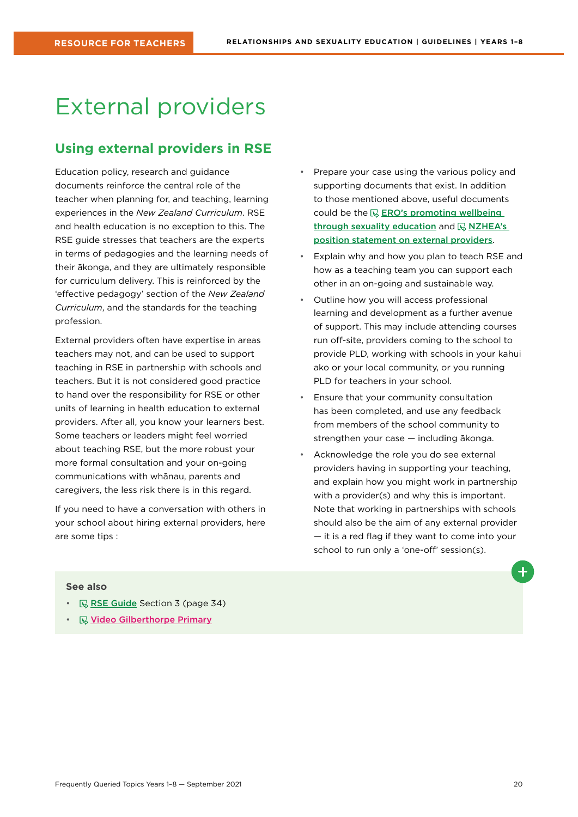## <span id="page-19-0"></span>External providers

## **Using external providers in RSE**

Education policy, research and guidance documents reinforce the central role of the teacher when planning for, and teaching, learning experiences in the *New Zealand Curriculum*. RSE and health education is no exception to this. The RSE guide stresses that teachers are the experts in terms of pedagogies and the learning needs of their ākonga, and they are ultimately responsible for curriculum delivery. This is reinforced by the 'effective pedagogy' section of the *New Zealand Curriculum*, and the standards for the teaching profession.

External providers often have expertise in areas teachers may not, and can be used to support teaching in RSE in partnership with schools and teachers. But it is not considered good practice to hand over the responsibility for RSE or other units of learning in health education to external providers. After all, you know your learners best. Some teachers or leaders might feel worried about teaching RSE, but the more robust your more formal consultation and your on-going communications with whānau, parents and caregivers, the less risk there is in this regard.

If you need to have a conversation with others in your school about hiring external providers, here are some tips :

- Prepare your case using the various policy and supporting documents that exist. In addition to those mentioned above, useful documents could be the  $\mathbb Q$  ERO's promoting wellbeing [through sexuality education](https://ero.govt.nz/our-research/promoting-wellbeing-through-sexuality-education) and  $\mathbb R$  NZHEA's [position statement on external providers](https://healtheducation.org.nz/wp-content/uploads/2018/11/5-nzhea-position-statement-external-providers.pdf).
- Explain why and how you plan to teach RSE and how as a teaching team you can support each other in an on-going and sustainable way.
- Outline how you will access professional learning and development as a further avenue of support. This may include attending courses run off-site, providers coming to the school to provide PLD, working with schools in your kahui ako or your local community, or you running PLD for teachers in your school.
- Ensure that your community consultation has been completed, and use any feedback from members of the school community to strengthen your case — including ākonga.
- Acknowledge the role you do see external providers having in supporting your teaching, and explain how you might work in partnership with a provider(s) and why this is important. Note that working in partnerships with schools should also be the aim of any external provider — it is a red flag if they want to come into your school to run only a 'one-off' session(s).

- $\mathbb R$  [RSE Guide](https://health.tki.org.nz/Teaching-in-Heath-and-Physical-Education-HPE/Policy-Guidelines/Relationships-and-Sexuality-Education) Section 3 (page 34)
- *<u>R* Video Gilberthorpe Primary</u>